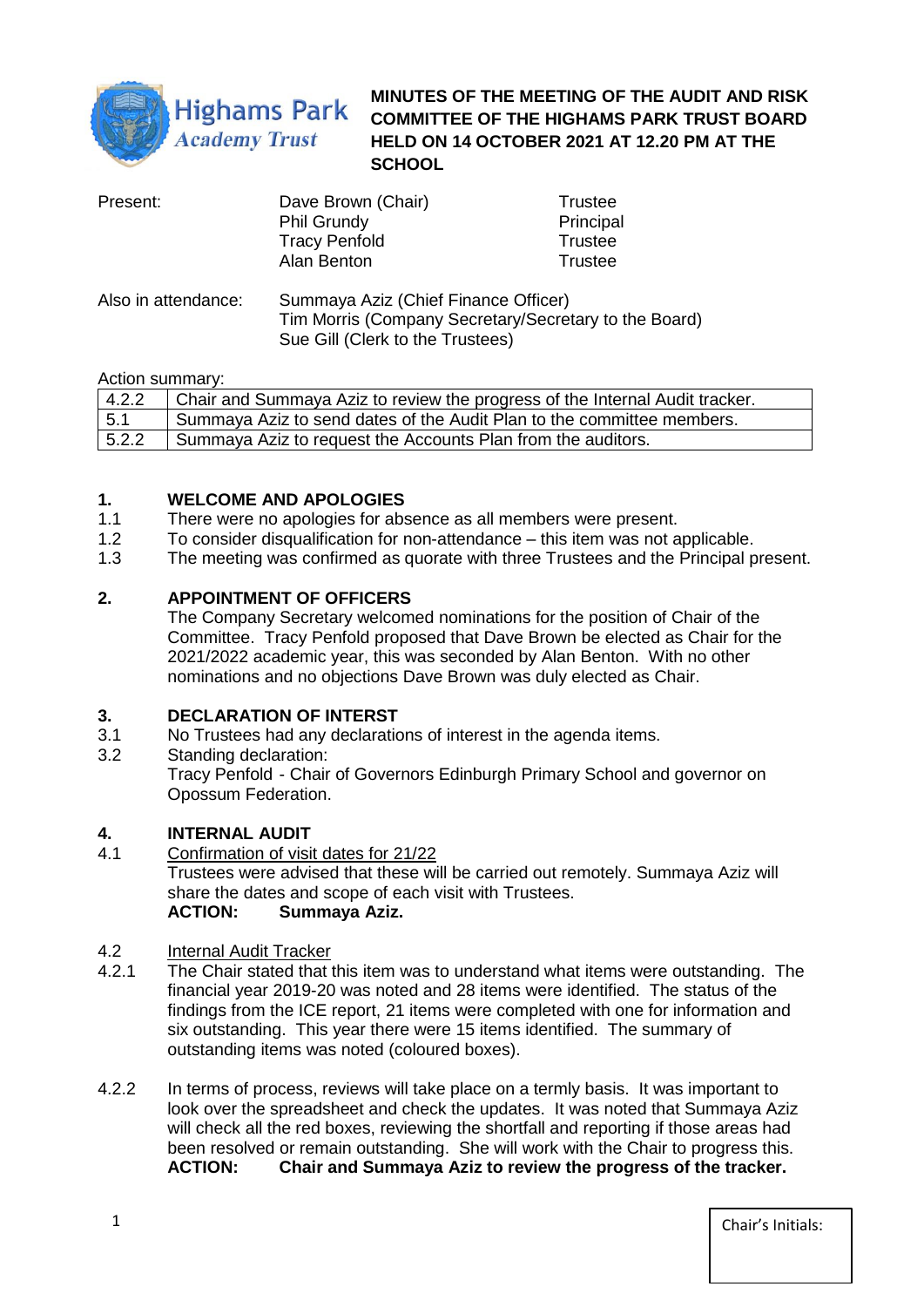

**MINUTES OF THE MEETING OF THE AUDIT AND RISK COMMITTEE OF THE HIGHAMS PARK TRUST BOARD HELD ON 14 OCTOBER 2021 AT 12.20 PM AT THE SCHOOL** 

| Present:            | Dave Brown (Chair)                                                                                                                | <b>Trustee</b> |
|---------------------|-----------------------------------------------------------------------------------------------------------------------------------|----------------|
|                     | Phil Grundy                                                                                                                       | Principal      |
|                     | <b>Tracy Penfold</b>                                                                                                              | <b>Trustee</b> |
|                     | Alan Benton                                                                                                                       | Trustee        |
| Also in attendance: | Summaya Aziz (Chief Finance Officer)<br>Tim Morris (Company Secretary/Secretary to the Board)<br>Sue Gill (Clerk to the Trustees) |                |

#### Action summary:

| 4.2.2 | Chair and Summaya Aziz to review the progress of the Internal Audit tracker. |
|-------|------------------------------------------------------------------------------|
| 5.1   | Summaya Aziz to send dates of the Audit Plan to the committee members.       |
| 5.2.2 | Summaya Aziz to request the Accounts Plan from the auditors.                 |

## **1. WELCOME AND APOLOGIES**

- 1.1 There were no apologies for absence as all members were present.
- 1.2 To consider disqualification for non-attendance this item was not applicable.
- 1.3 The meeting was confirmed as quorate with three Trustees and the Principal present.

## **2. APPOINTMENT OF OFFICERS**

The Company Secretary welcomed nominations for the position of Chair of the Committee. Tracy Penfold proposed that Dave Brown be elected as Chair for the 2021/2022 academic year, this was seconded by Alan Benton. With no other nominations and no objections Dave Brown was duly elected as Chair.

#### **3. DECLARATION OF INTERST**

- 3.1 No Trustees had any declarations of interest in the agenda items.
- 3.2 Standing declaration: Tracy Penfold - Chair of Governors Edinburgh Primary School and governor on Opossum Federation.

#### **4. INTERNAL AUDIT**

4.1 Confirmation of visit dates for 21/22 Trustees were advised that these will be carried out remotely. Summaya Aziz will share the dates and scope of each visit with Trustees. **ACTION: Summaya Aziz.** 

# 4.2 Internal Audit Tracker<br>4.2.1 The Chair stated that

- The Chair stated that this item was to understand what items were outstanding. The financial year 2019-20 was noted and 28 items were identified. The status of the findings from the ICE report, 21 items were completed with one for information and six outstanding. This year there were 15 items identified. The summary of outstanding items was noted (coloured boxes).
- 4.2.2 In terms of process, reviews will take place on a termly basis. It was important to look over the spreadsheet and check the updates. It was noted that Summaya Aziz will check all the red boxes, reviewing the shortfall and reporting if those areas had been resolved or remain outstanding. She will work with the Chair to progress this. **ACTION: Chair and Summaya Aziz to review the progress of the tracker.**

1 Chair's Initials: